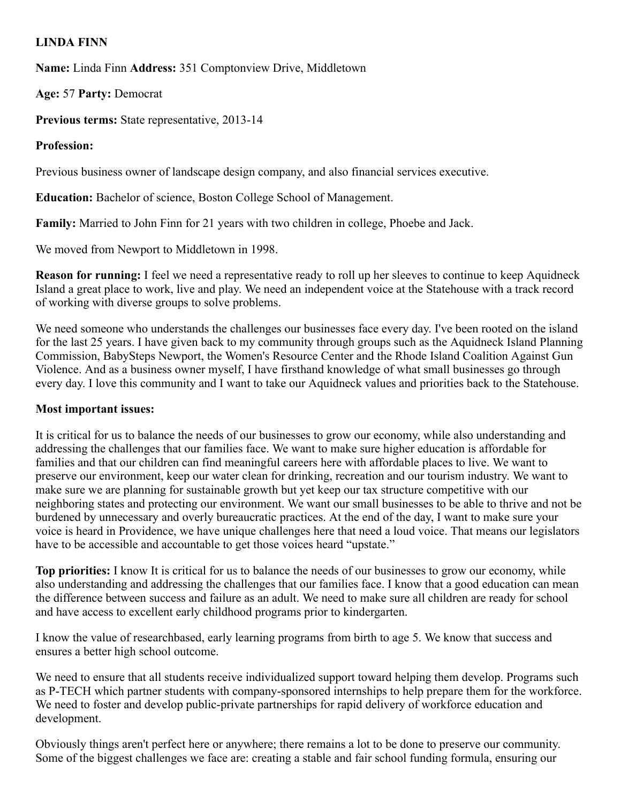## LINDA FINN

Name: Linda Finn Address: 351 Comptonview Drive, Middletown

Age: 57 Party: Democrat

Previous terms: State representative, 2013-14

## Profession:

Previous business owner of landscape design company, and also financial services executive.

Education: Bachelor of science, Boston College School of Management.

Family: Married to John Finn for 21 years with two children in college, Phoebe and Jack.

We moved from Newport to Middletown in 1998.

Reason for running: I feel we need a representative ready to roll up her sleeves to continue to keep Aquidneck Island a great place to work, live and play. We need an independent voice at the Statehouse with a track record of working with diverse groups to solve problems.

We need someone who understands the challenges our businesses face every day. I've been rooted on the island for the last 25 years. I have given back to my community through groups such as the Aquidneck Island Planning Commission, BabySteps Newport, the Women's Resource Center and the Rhode Island Coalition Against Gun Violence. And as a business owner myself, I have firsthand knowledge of what small businesses go through every day. I love this community and I want to take our Aquidneck values and priorities back to the Statehouse.

## Most important issues:

It is critical for us to balance the needs of our businesses to grow our economy, while also understanding and addressing the challenges that our families face. We want to make sure higher education is affordable for families and that our children can find meaningful careers here with affordable places to live. We want to preserve our environment, keep our water clean for drinking, recreation and our tourism industry. We want to make sure we are planning for sustainable growth but yet keep our tax structure competitive with our neighboring states and protecting our environment. We want our small businesses to be able to thrive and not be burdened by unnecessary and overly bureaucratic practices. At the end of the day, I want to make sure your voice is heard in Providence, we have unique challenges here that need a loud voice. That means our legislators have to be accessible and accountable to get those voices heard "upstate."

Top priorities: I know It is critical for us to balance the needs of our businesses to grow our economy, while also understanding and addressing the challenges that our families face. I know that a good education can mean the difference between success and failure as an adult. We need to make sure all children are ready for school and have access to excellent early childhood programs prior to kindergarten.

I know the value of researchbased, early learning programs from birth to age 5. We know that success and ensures a better high school outcome.

We need to ensure that all students receive individualized support toward helping them develop. Programs such as P-TECH which partner students with company-sponsored internships to help prepare them for the workforce. We need to foster and develop public-private partnerships for rapid delivery of workforce education and development.

Obviously things aren't perfect here or anywhere; there remains a lot to be done to preserve our community. Some of the biggest challenges we face are: creating a stable and fair school funding formula, ensuring our